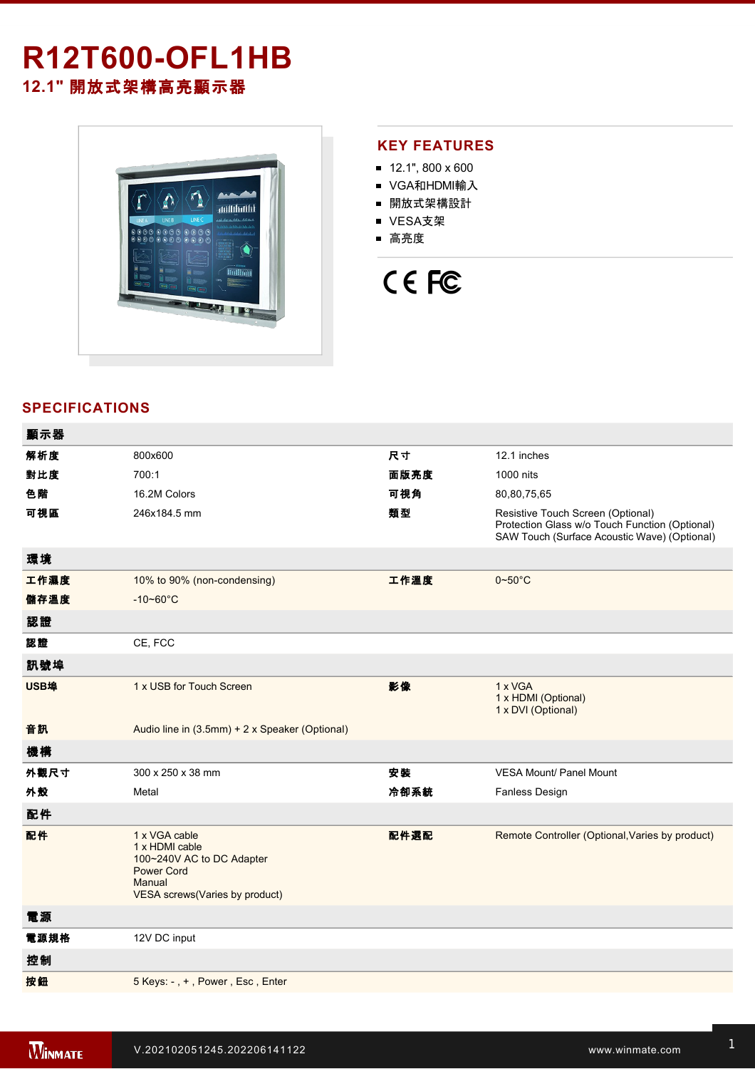# **R12T600-OFL1HB 12.1"** 開放式架構高亮顯示器



## **KEY FEATURES**

- $12.1$ ", 800 x 600
- VGA和HDMI輸入
- 開放式架構設計
- VESA支架
- 高亮度

# CE FC

# **SPECIFICATIONS**

| 顯示器  |                                                                                                                               |      |                                                                                                                                     |
|------|-------------------------------------------------------------------------------------------------------------------------------|------|-------------------------------------------------------------------------------------------------------------------------------------|
| 解析度  | 800x600                                                                                                                       | 尺寸   | 12.1 inches                                                                                                                         |
| 對比度  | 700:1                                                                                                                         | 面版亮度 | 1000 nits                                                                                                                           |
| 色階   | 16.2M Colors                                                                                                                  | 可視角  | 80,80,75,65                                                                                                                         |
| 可視區  | 246x184.5 mm                                                                                                                  | 類型   | Resistive Touch Screen (Optional)<br>Protection Glass w/o Touch Function (Optional)<br>SAW Touch (Surface Acoustic Wave) (Optional) |
| 環境   |                                                                                                                               |      |                                                                                                                                     |
| 工作濕度 | 10% to 90% (non-condensing)                                                                                                   | 工作溫度 | $0 - 50$ °C                                                                                                                         |
| 儲存溫度 | $-10 - 60^{\circ}$ C                                                                                                          |      |                                                                                                                                     |
| 認證   |                                                                                                                               |      |                                                                                                                                     |
| 認證   | CE, FCC                                                                                                                       |      |                                                                                                                                     |
| 訊號埠  |                                                                                                                               |      |                                                                                                                                     |
| USB埠 | 1 x USB for Touch Screen                                                                                                      | 影像   | 1 x VGA<br>1 x HDMI (Optional)<br>1 x DVI (Optional)                                                                                |
| 音訊   | Audio line in (3.5mm) + 2 x Speaker (Optional)                                                                                |      |                                                                                                                                     |
| 機構   |                                                                                                                               |      |                                                                                                                                     |
| 外觀尺寸 | 300 x 250 x 38 mm                                                                                                             | 安装   | <b>VESA Mount/ Panel Mount</b>                                                                                                      |
| 外殼   | Metal                                                                                                                         | 冷卻系統 | <b>Fanless Design</b>                                                                                                               |
| 配件   |                                                                                                                               |      |                                                                                                                                     |
| 配件   | 1 x VGA cable<br>1 x HDMI cable<br>100~240V AC to DC Adapter<br><b>Power Cord</b><br>Manual<br>VESA screws(Varies by product) | 配件選配 | Remote Controller (Optional, Varies by product)                                                                                     |
| 電源   |                                                                                                                               |      |                                                                                                                                     |
| 電源規格 | 12V DC input                                                                                                                  |      |                                                                                                                                     |
| 控制   |                                                                                                                               |      |                                                                                                                                     |
| 按鈕   | 5 Keys: -, +, Power, Esc, Enter                                                                                               |      |                                                                                                                                     |
|      |                                                                                                                               |      |                                                                                                                                     |

**DIMENSIONS**  UNIT:MM